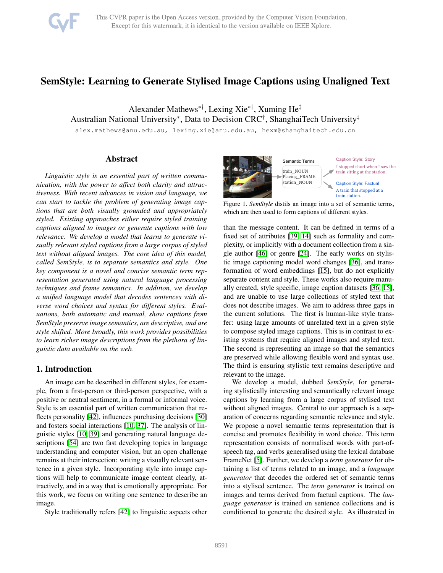<span id="page-0-1"></span>

# SemStyle: Learning to Generate Stylised Image Captions using Unaligned Text

Alexander Mathews∗†, Lexing Xie∗†, Xuming He‡ Australian National University<sup>∗</sup> , Data to Decision CRC† , ShanghaiTech University‡

alex.mathews@anu.edu.au, lexing.xie@anu.edu.au, hexm@shanghaitech.edu.cn

# Abstract

*Linguistic style is an essential part of written communication, with the power to affect both clarity and attractiveness. With recent advances in vision and language, we can start to tackle the problem of generating image captions that are both visually grounded and appropriately styled. Existing approaches either require styled training captions aligned to images or generate captions with low relevance. We develop a model that learns to generate visually relevant styled captions from a large corpus of styled text without aligned images. The core idea of this model, called SemStyle, is to separate semantics and style. One key component is a novel and concise semantic term representation generated using natural language processing techniques and frame semantics. In addition, we develop a unified language model that decodes sentences with diverse word choices and syntax for different styles. Evaluations, both automatic and manual, show captions from SemStyle preserve image semantics, are descriptive, and are style shifted. More broadly, this work provides possibilities to learn richer image descriptions from the plethora of linguistic data available on the web.*

## 1. Introduction

An image can be described in different styles, for example, from a first-person or third-person perspective, with a positive or neutral sentiment, in a formal or informal voice. Style is an essential part of written communication that reflects personality [\[42\]](#page-9-0), influences purchasing decisions [\[30\]](#page-8-0) and fosters social interactions [\[10,](#page-8-1) [37\]](#page-9-1). The analysis of linguistic styles [\[10,](#page-8-1) [39\]](#page-9-2) and generating natural language descriptions [\[54\]](#page-9-3) are two fast developing topics in language understanding and computer vision, but an open challenge remains at their intersection: writing a visually relevant sentence in a given style. Incorporating style into image captions will help to communicate image content clearly, attractively, and in a way that is emotionally appropriate. For this work, we focus on writing one sentence to describe an image.

Style traditionally refers [\[42\]](#page-9-0) to linguistic aspects other



I stopped short when I saw the train sitting at the station. Caption Style: Story

A train that stopped at a train station. Caption Style: Factual

<span id="page-0-0"></span>Figure 1. *SemStyle* distils an image into a set of semantic terms, which are then used to form captions of different styles.

than the message content. It can be defined in terms of a fixed set of attributes [\[39,](#page-9-2) [14\]](#page-8-2) such as formality and complexity, or implicitly with a document collection from a single author [\[46\]](#page-9-4) or genre [\[24\]](#page-8-3). The early works on stylistic image captioning model word changes [\[36\]](#page-9-5), and transformation of word embeddings [\[15\]](#page-8-4), but do not explicitly separate content and style. These works also require manually created, style specific, image caption datasets [\[36,](#page-9-5) [15\]](#page-8-4), and are unable to use large collections of styled text that does not describe images. We aim to address three gaps in the current solutions. The first is human-like style transfer: using large amounts of unrelated text in a given style to compose styled image captions. This is in contrast to existing systems that require aligned images and styled text. The second is representing an image so that the semantics are preserved while allowing flexible word and syntax use. The third is ensuring stylistic text remains descriptive and relevant to the image.

We develop a model, dubbed *SemStyle*, for generating stylistically interesting and semantically relevant image captions by learning from a large corpus of stylised text without aligned images. Central to our approach is a separation of concerns regarding semantic relevance and style. We propose a novel semantic terms representation that is concise and promotes flexibility in word choice. This term representation consists of normalised words with part-ofspeech tag, and verbs generalised using the lexical database FrameNet [\[5\]](#page-8-5). Further, we develop a *term generator* for obtaining a list of terms related to an image, and a *language generator* that decodes the ordered set of semantic terms into a stylised sentence. The *term generator* is trained on images and terms derived from factual captions. The *language generator* is trained on sentence collections and is conditioned to generate the desired style. As illustrated in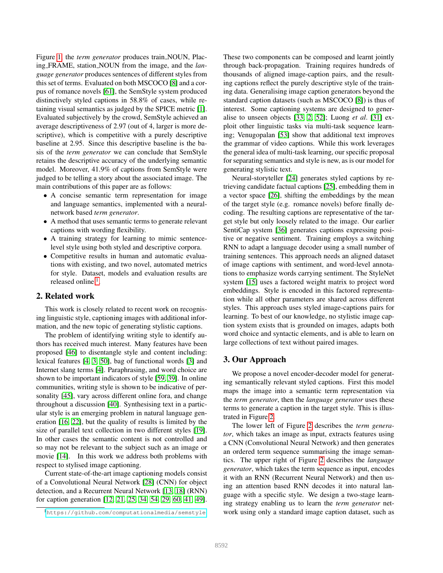Figure [1,](#page-0-0) the *term generator* produces train\_NOUN, Placing FRAME, station NOUN from the image, and the *language generator* produces sentences of different styles from this set of terms. Evaluated on both MSCOCO [\[8\]](#page-8-6) and a corpus of romance novels [\[61\]](#page-9-6), the SemStyle system produced distinctively styled captions in 58.8% of cases, while retaining visual semantics as judged by the SPICE metric [\[1\]](#page-8-7). Evaluated subjectively by the crowd, SemStyle achieved an average descriptiveness of 2.97 (out of 4, larger is more descriptive), which is competitive with a purely descriptive baseline at 2.95. Since this descriptive baseline is the basis of the *term generator* we can conclude that SemStyle retains the descriptive accuracy of the underlying semantic model. Moreover, 41.9% of captions from SemStyle were judged to be telling a story about the associated image. The main contributions of this paper are as follows:

- A concise semantic term representation for image and language semantics, implemented with a neuralnetwork based *term generator*.
- A method that uses semantic terms to generate relevant captions with wording flexibility.
- A training strategy for learning to mimic sentencelevel style using both styled and descriptive corpora.
- Competitive results in human and automatic evaluations with existing, and two novel, automated metrics for style. Dataset, models and evaluation results are released online <sup>[1](#page-1-0)</sup>.

## 2. Related work

This work is closely related to recent work on recognising linguistic style, captioning images with additional information, and the new topic of generating stylistic captions.

The problem of identifying writing style to identify authors has received much interest. Many features have been proposed [\[46\]](#page-9-4) to disentangle style and content including: lexical features [\[4,](#page-8-8) [3,](#page-8-9) [50\]](#page-9-7), bag of functional words [\[3\]](#page-8-9) and Internet slang terms [\[4\]](#page-8-8). Paraphrasing, and word choice are shown to be important indicators of style [\[59,](#page-9-8) [39\]](#page-9-2). In online communities, writing style is shown to be indicative of personality [\[45\]](#page-9-9), vary across different online fora, and change throughout a discussion [\[40\]](#page-9-10). Synthesising text in a particular style is an emerging problem in natural language generation [\[16,](#page-8-10) [22\]](#page-8-11), but the quality of results is limited by the size of parallel text collection in two different styles [\[19\]](#page-8-12). In other cases the semantic content is not controlled and so may not be relevant to the subject such as an image or movie [\[14\]](#page-8-2). In this work we address both problems with respect to stylised image captioning.

Current state-of-the-art image captioning models consist of a Convolutional Neural Network [\[28\]](#page-8-13) (CNN) for object detection, and a Recurrent Neural Network [\[13,](#page-8-14) [18\]](#page-8-15) (RNN) for caption generation [\[12,](#page-8-16) [21,](#page-8-17) [25,](#page-8-18) [34,](#page-9-11) [54,](#page-9-3) [29,](#page-8-19) [60,](#page-9-12) [41,](#page-9-13) [49\]](#page-9-14).

These two components can be composed and learnt jointly through back-propagation. Training requires hundreds of thousands of aligned image-caption pairs, and the resulting captions reflect the purely descriptive style of the training data. Generalising image caption generators beyond the standard caption datasets (such as MSCOCO [\[8\]](#page-8-6)) is thus of interest. Some captioning systems are designed to generalise to unseen objects [\[33,](#page-8-20) [2,](#page-8-21) [52\]](#page-9-15); Luong *et al*. [\[31\]](#page-8-22) exploit other linguistic tasks via multi-task sequence learning; Venugopalan [\[53\]](#page-9-16) show that additional text improves the grammar of video captions. While this work leverages the general idea of multi-task learning, our specific proposal for separating semantics and style is new, as is our model for generating stylistic text.

Neural-storyteller [\[24\]](#page-8-3) generates styled captions by retrieving candidate factual captions [\[25\]](#page-8-18), embedding them in a vector space [\[26\]](#page-8-23), shifting the embeddings by the mean of the target style (e.g. romance novels) before finally decoding. The resulting captions are representative of the target style but only loosely related to the image. Our earlier SentiCap system [\[36\]](#page-9-5) generates captions expressing positive or negative sentiment. Training employs a switching RNN to adapt a language decoder using a small number of training sentences. This approach needs an aligned dataset of image captions with sentiment, and word-level annotations to emphasize words carrying sentiment. The StyleNet system [\[15\]](#page-8-4) uses a factored weight matrix to project word embeddings. Style is encoded in this factored representation while all other parameters are shared across different styles. This approach uses styled image-captions pairs for learning. To best of our knowledge, no stylistic image caption system exists that is grounded on images, adapts both word choice and syntactic elements, and is able to learn on large collections of text without paired images.

## 3. Our Approach

We propose a novel encoder-decoder model for generating semantically relevant styled captions. First this model maps the image into a semantic term representation via the *term generator*, then the *language generator* uses these terms to generate a caption in the target style. This is illustrated in Figure [2.](#page-2-0)

The lower left of Figure [2](#page-2-0) describes the *term generator*, which takes an image as input, extracts features using a CNN (Convolutional Neural Network) and then generates an ordered term sequence summarising the image semantics. The upper right of Figure [2](#page-2-0) describes the *language generator*, which takes the term sequence as input, encodes it with an RNN (Recurrent Neural Network) and then using an attention based RNN decodes it into natural language with a specific style. We design a two-stage learning strategy enabling us to learn the *term generator* network using only a standard image caption dataset, such as

<span id="page-1-0"></span><sup>1</sup><https://github.com/computationalmedia/semstyle>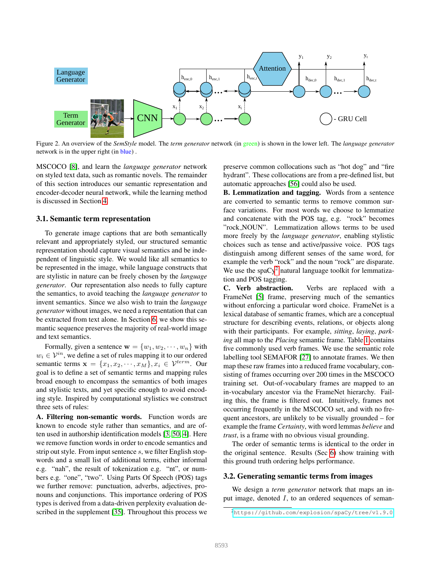

<span id="page-2-0"></span>Figure 2. An overview of the *SemStyle* model. The *term generator* network (in green) is shown in the lower left. The *language generator* network is in the upper right (in blue) .

MSCOCO [\[8\]](#page-8-6), and learn the *language generator* network on styled text data, such as romantic novels. The remainder of this section introduces our semantic representation and encoder-decoder neural network, while the learning method is discussed in Section [4.](#page-3-0)

#### <span id="page-2-2"></span>3.1. Semantic term representation

To generate image captions that are both semantically relevant and appropriately styled, our structured semantic representation should capture visual semantics and be independent of linguistic style. We would like all semantics to be represented in the image, while language constructs that are stylistic in nature can be freely chosen by the *language generator*. Our representation also needs to fully capture the semantics, to avoid teaching the *language generator* to invent semantics. Since we also wish to train the *language generator* without images, we need a representation that can be extracted from text alone. In Section [6,](#page-5-0) we show this semantic sequence preserves the majority of real-world image and text semantics.

Formally, given a sentence  $\mathbf{w} = \{w_1, w_2, \dots, w_n\}$  with  $w_i \in \mathcal{V}^{in}$ , we define a set of rules mapping it to our ordered semantic terms  $\mathbf{x} = \{x_1, x_2, \dots, x_M\}, x_i \in \mathcal{V}^{term}$ . Our goal is to define a set of semantic terms and mapping rules broad enough to encompass the semantics of both images and stylistic texts, and yet specific enough to avoid encoding style. Inspired by computational stylistics we construct three sets of rules:

A. Filtering non-semantic words. Function words are known to encode style rather than semantics, and are often used in authorship identification models [\[3,](#page-8-9) [50,](#page-9-7) [4\]](#page-8-8). Here we remove function words in order to encode semantics and strip out style. From input sentence s, we filter English stopwords and a small list of additional terms, either informal e.g. "nah", the result of tokenization e.g. "nt", or numbers e.g. "one", "two". Using Parts Of Speech (POS) tags we further remove: punctuation, adverbs, adjectives, pronouns and conjunctions. This importance ordering of POS types is derived from a data-driven perplexity evaluation described in the supplement [\[35\]](#page-9-17). Throughout this process we preserve common collocations such as "hot dog" and "fire hydrant". These collocations are from a pre-defined list, but automatic approaches [\[56\]](#page-9-18) could also be used.

B. Lemmatization and tagging. Words from a sentence are converted to semantic terms to remove common surface variations. For most words we choose to lemmatize and concatenate with the POS tag, e.g. "rock" becomes "rock NOUN". Lemmatization allows terms to be used more freely by the *language generator*, enabling stylistic choices such as tense and active/passive voice. POS tags distinguish among different senses of the same word, for example the verb "rock" and the noun "rock" are disparate. We use the spa $Cy^2$  $Cy^2$  natural language toolkit for lemmatization and POS tagging.

C. Verb abstraction. Verbs are replaced with a FrameNet [\[5\]](#page-8-5) frame, preserving much of the semantics without enforcing a particular word choice. FrameNet is a lexical database of semantic frames, which are a conceptual structure for describing events, relations, or objects along with their participants. For example, *sitting*, *laying*, *parking* all map to the *Placing* semantic frame. Table [1](#page-3-1) contains five commonly used verb frames. We use the semantic role labelling tool SEMAFOR [\[27\]](#page-8-24) to annotate frames. We then map these raw frames into a reduced frame vocabulary, consisting of frames occurring over 200 times in the MSCOCO training set. Out-of-vocabulary frames are mapped to an in-vocabulary ancestor via the FrameNet hierarchy. Failing this, the frame is filtered out. Intuitively, frames not occurring frequently in the MSCOCO set, and with no frequent ancestors, are unlikely to be visually grounded – for example the frame *Certainty*, with word lemmas *believe* and *trust*, is a frame with no obvious visual grounding.

The order of semantic terms is identical to the order in the original sentence. Results (Sec [6\)](#page-5-0) show training with this ground truth ordering helps performance.

#### 3.2. Generating semantic terms from images

We design a *term generator* network that maps an input image, denoted  $I$ , to an ordered sequences of seman-

<span id="page-2-1"></span><sup>2</sup><https://github.com/explosion/spaCy/tree/v1.9.0>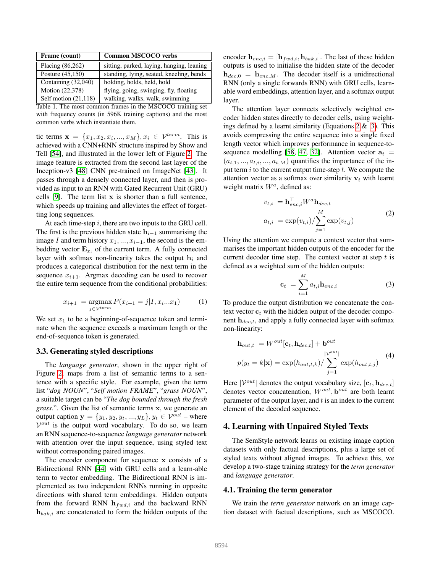| Frame (count)             | <b>Common MSCOCO verbs</b>                |
|---------------------------|-------------------------------------------|
| Placing (86,262)          | sitting, parked, laying, hanging, leaning |
| Posture $(45,150)$        | standing, lying, seated, kneeling, bends  |
| Containing $(32,040)$     | holding, holds, held, hold                |
| Motion (22,378)           | flying, going, swinging, fly, floating    |
| Self motion $(21,118)$    | walking, walks, walk, swimming            |
| .<br>$\sim$ $\sim$ $\sim$ |                                           |

<span id="page-3-1"></span>Table 1. The most common frames in the MSCOCO training set with frequency counts (in 596K training captions) and the most common verbs which instantiate them.

tic terms  $\mathbf{x} = \{x_1, x_2, x_i, ..., x_M\}, x_i \in \mathcal{V}^{term}$ . This is achieved with a CNN+RNN structure inspired by Show and Tell [\[54\]](#page-9-3), and illustrated in the lower left of Figure [2.](#page-2-0) The image feature is extracted from the second last layer of the Inception-v3 [\[48\]](#page-9-19) CNN pre-trained on ImageNet [\[43\]](#page-9-20). It passes through a densely connected layer, and then is provided as input to an RNN with Gated Recurrent Unit (GRU) cells  $[9]$ . The term list x is shorter than a full sentence, which speeds up training and alleviates the effect of forgetting long sequences.

At each time-step  $i$ , there are two inputs to the GRU cell. The first is the previous hidden state  $h_{i-1}$  summarising the image I and term history  $x_1, \ldots, x_{i-1}$ , the second is the embedding vector  $\mathbf{E}_{x_i}$  of the current term. A fully connected layer with softmax non-linearity takes the output  $h_i$  and produces a categorical distribution for the next term in the sequence  $x_{i+1}$ . Argmax decoding can be used to recover the entire term sequence from the conditional probabilities:

$$
x_{i+1} = \underset{j \in \mathcal{V}^{term}}{\text{argmax}} P(x_{i+1} = j | I, x_i...x_1)
$$
 (1)

We set  $x_1$  to be a beginning-of-sequence token and terminate when the sequence exceeds a maximum length or the end-of-sequence token is generated.

#### <span id="page-3-2"></span>3.3. Generating styled descriptions

The *language generator*, shown in the upper right of Figure [2,](#page-2-0) maps from a list of semantic terms to a sentence with a specific style. For example, given the term list "*dog NOUN*", "*Self motion FRAME*", "*grass NOUN*", a suitable target can be "*The dog bounded through the fresh grass.*". Given the list of semantic terms x, we generate an output caption  $\mathbf{y} = \{y_1, y_2, y_t, ..., y_L\}, y_t \in \mathcal{V}^{out}$  – where  $V^{out}$  is the output word vocabulary. To do so, we learn an RNN sequence-to-sequence *language generator* network with attention over the input sequence, using styled text without corresponding paired images.

The encoder component for sequence x consists of a Bidirectional RNN [\[44\]](#page-9-21) with GRU cells and a learn-able term to vector embedding. The Bidirectional RNN is implemented as two independent RNNs running in opposite directions with shared term embeddings. Hidden outputs from the forward RNN  $h_{fwd,i}$  and the backward RNN  $h_{bak,i}$  are concatenated to form the hidden outputs of the

encoder  $h_{enc,i} = [\mathbf{h}_{fwd,i}, \mathbf{h}_{bak,i}]$ . The last of these hidden outputs is used to initialise the hidden state of the decoder  $h_{dec,0} = h_{enc,M}$ . The decoder itself is a unidirectional RNN (only a single forwards RNN) with GRU cells, learnable word embeddings, attention layer, and a softmax output layer.

The attention layer connects selectively weighted encoder hidden states directly to decoder cells, using weightings defined by a learnt similarity (Equations  $2 \& 3$ ). This avoids compressing the entire sequence into a single fixed length vector which improves performance in sequence-to-sequence modelling [\[58,](#page-9-22) [47,](#page-9-23) [32\]](#page-8-26). Attention vector  $a_t$  =  $(a_{t,1},..., a_{t,i},..., a_{t,M})$  quantifies the importance of the input term  $i$  to the current output time-step  $t$ . We compute the attention vector as a softmax over similarity  $v_t$  with learnt weight matrix  $W^a$ , defined as:

$$
v_{t,i} = \mathbf{h}_{enc,i}^{\top} W^a \mathbf{h}_{dec,t}
$$
  

$$
a_{t,i} = \exp(v_{t,i}) / \sum_{j=1}^{M} \exp(v_{t,j})
$$
 (2)

Using the attention we compute a context vector that summarises the important hidden outputs of the encoder for the current decoder time step. The context vector at step  $t$  is defined as a weighted sum of the hidden outputs:

$$
\mathbf{c}_t = \sum_{i=1}^{M} a_{t,i} \mathbf{h}_{enc,i} \tag{3}
$$

To produce the output distribution we concatenate the context vector  $c_t$  with the hidden output of the decoder component  $h_{dec,t}$ , and apply a fully connected layer with softmax non-linearity:

$$
\mathbf{h}_{out,t} = W^{out}[\mathbf{c}_t, \mathbf{h}_{dec,t}] + \mathbf{b}^{out}
$$
  
\n
$$
p(y_t = k|\mathbf{x}) = \exp(h_{out,t,k}) / \sum_{j=1}^{|\mathcal{V}^{out}|} \exp(h_{out,t,j})
$$
 (4)

Here  $|\mathcal{V}^{out}|$  denotes the output vocabulary size,  $[\mathbf{c}_t, \mathbf{h}_{dec,t}]$ denotes vector concatenation,  $W^{out}$ ,  $\mathbf{b}^{out}$  are both learnt parameter of the output layer, and  $t$  is an index to the current element of the decoded sequence.

## <span id="page-3-0"></span>4. Learning with Unpaired Styled Texts

The SemStyle network learns on existing image caption datasets with only factual descriptions, plus a large set of styled texts without aligned images. To achieve this, we develop a two-stage training strategy for the *term generator* and *language generator*.

#### 4.1. Training the term generator

We train the *term generator* network on an image caption dataset with factual descriptions, such as MSCOCO.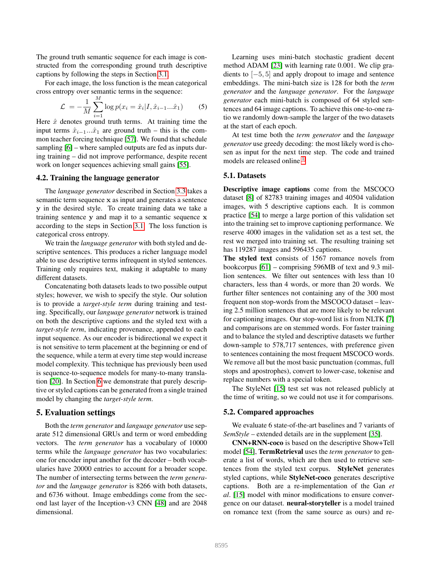The ground truth semantic sequence for each image is constructed from the corresponding ground truth descriptive captions by following the steps in Section [3.1.](#page-2-2)

For each image, the loss function is the mean categorical cross entropy over semantic terms in the sequence:

$$
\mathcal{L} = -\frac{1}{M} \sum_{i=1}^{M} \log p(x_i = \hat{x}_i | I, \hat{x}_{i-1}...\hat{x}_1)
$$
 (5)

Here  $\hat{x}$  denotes ground truth terms. At training time the input terms  $\hat{x}_{i-1}...\hat{x}_1$  are ground truth – this is the common teacher forcing technique [\[57\]](#page-9-24). We found that schedule sampling [\[6\]](#page-8-27) – where sampled outputs are fed as inputs during training – did not improve performance, despite recent work on longer sequences achieving small gains [\[55\]](#page-9-25).

## 4.2. Training the language generator

The *language generator* described in Section [3.3](#page-3-2) takes a semantic term sequence x as input and generates a sentence y in the desired style. To create training data we take a training sentence y and map it to a semantic sequence x according to the steps in Section [3.1.](#page-2-2) The loss function is categorical cross entropy.

We train the *language generator* with both styled and descriptive sentences. This produces a richer language model able to use descriptive terms infrequent in styled sentences. Training only requires text, making it adaptable to many different datasets.

Concatenating both datasets leads to two possible output styles; however, we wish to specify the style. Our solution is to provide a *target-style term* during training and testing. Specifically, our *language generator* network is trained on both the descriptive captions and the styled text with a *target-style term*, indicating provenance, appended to each input sequence. As our encoder is bidirectional we expect it is not sensitive to term placement at the beginning or end of the sequence, while a term at every time step would increase model complexity. This technique has previously been used is sequence-to-sequence models for many-to-many translation [\[20\]](#page-8-28). In Section [6](#page-5-0) we demonstrate that purely descriptive or styled captions can be generated from a single trained model by changing the *target-style term*.

#### 5. Evaluation settings

Both the *term generator* and *language generator* use separate 512 dimensional GRUs and term or word embedding vectors. The *term generator* has a vocabulary of 10000 terms while the *language generator* has two vocabularies: one for encoder input another for the decoder – both vocabularies have 20000 entries to account for a broader scope. The number of intersecting terms between the *term generator* and the *language generator* is 8266 with both datasets, and 6736 without. Image embeddings come from the second last layer of the Inception-v3 CNN [\[48\]](#page-9-19) and are 2048 dimensional.

Learning uses mini-batch stochastic gradient decent method ADAM [\[23\]](#page-8-29) with learning rate 0.001. We clip gradients to [−5, 5] and apply dropout to image and sentence embeddings. The mini-batch size is 128 for both the *term generator* and the *language generator*. For the *language generator* each mini-batch is composed of 64 styled sentences and 64 image captions. To achieve this one-to-one ratio we randomly down-sample the larger of the two datasets at the start of each epoch.

At test time both the *term generator* and the *language generator* use greedy decoding: the most likely word is chosen as input for the next time step. The code and trained models are released online <sup>[1](#page-0-1)</sup>.

### 5.1. Datasets

Descriptive image captions come from the MSCOCO dataset [\[8\]](#page-8-6) of 82783 training images and 40504 validation images, with 5 descriptive captions each. It is common practice [\[54\]](#page-9-3) to merge a large portion of this validation set into the training set to improve captioning performance. We reserve 4000 images in the validation set as a test set, the rest we merged into training set. The resulting training set has 119287 images and 596435 captions.

The styled text consists of 1567 romance novels from bookcorpus [\[61\]](#page-9-6) – comprising 596MB of text and 9.3 million sentences. We filter out sentences with less than 10 characters, less than 4 words, or more than 20 words. We further filter sentences not containing any of the 300 most frequent non stop-words from the MSCOCO dataset – leaving 2.5 million sentences that are more likely to be relevant for captioning images. Our stop-word list is from NLTK [\[7\]](#page-8-30) and comparisons are on stemmed words. For faster training and to balance the styled and descriptive datasets we further down-sample to 578,717 sentences, with preference given to sentences containing the most frequent MSCOCO words. We remove all but the most basic punctuation (commas, full stops and apostrophes), convert to lower-case, tokenise and replace numbers with a special token.

The StyleNet [\[15\]](#page-8-4) test set was not released publicly at the time of writing, so we could not use it for comparisons.

#### <span id="page-4-0"></span>5.2. Compared approaches

We evaluate 6 state-of-the-art baselines and 7 variants of *SemStyle* – extended details are in the supplement [\[35\]](#page-9-17).

CNN+RNN-coco is based on the descriptive Show+Tell model [\[54\]](#page-9-3), TermRetrieval uses the *term generator* to generate a list of words, which are then used to retrieve sentences from the styled text corpus. StyleNet generates styled captions, while StyleNet-coco generates descriptive captions. Both are a re-implementation of the Gan *et al*. [\[15\]](#page-8-4) model with minor modifications to ensure convergence on our dataset. neural-storyteller is a model trained on romance text (from the same source as ours) and re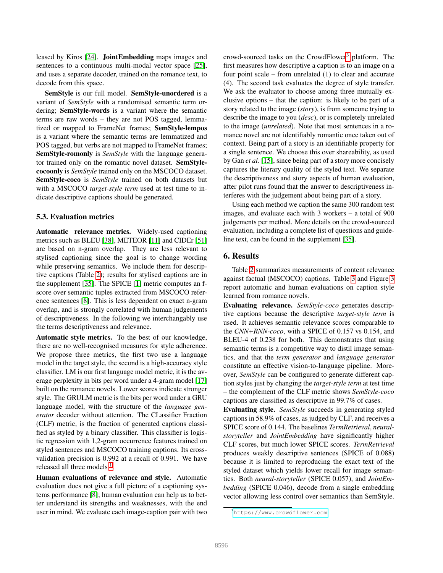leased by Kiros [\[24\]](#page-8-3). JointEmbedding maps images and sentences to a continuous multi-modal vector space [\[25\]](#page-8-18), and uses a separate decoder, trained on the romance text, to decode from this space.

SemStyle is our full model. SemStyle-unordered is a variant of *SemStyle* with a randomised semantic term ordering; SemStyle-words is a variant where the semantic terms are raw words – they are not POS tagged, lemmatized or mapped to FrameNet frames; SemStyle-lempos is a variant where the semantic terms are lemmatized and POS tagged, but verbs are not mapped to FrameNet frames; SemStyle-romonly is *SemStyle* with the language generator trained only on the romantic novel dataset. SemStylecocoonly is *SemStyle* trained only on the MSCOCO dataset. SemStyle-coco is *SemStyle* trained on both datasets but with a MSCOCO *target-style term* used at test time to indicate descriptive captions should be generated.

#### <span id="page-5-2"></span>5.3. Evaluation metrics

Automatic relevance metrics. Widely-used captioning metrics such as BLEU [\[38\]](#page-9-26), METEOR [\[11\]](#page-8-31) and CIDEr [\[51\]](#page-9-27) are based on n-gram overlap. They are less relevant to stylised captioning since the goal is to change wording while preserving semantics. We include them for descriptive captions (Table [2\)](#page-6-0); results for stylised captions are in the supplement [\[35\]](#page-9-17). The SPICE [\[1\]](#page-8-7) metric computes an fscore over semantic tuples extracted from MSCOCO reference sentences [\[8\]](#page-8-6). This is less dependent on exact n-gram overlap, and is strongly correlated with human judgements of descriptiveness. In the following we interchangably use the terms descriptiveness and relevance.

Automatic style metrics. To the best of our knowledge, there are no well-recognised measures for style adherence. We propose three metrics, the first two use a language model in the target style, the second is a high-accuracy style classifier. LM is our first language model metric, it is the average perplexity in bits per word under a 4-gram model [\[17\]](#page-8-32) built on the romance novels. Lower scores indicate stronger style. The GRULM metric is the bits per word under a GRU language model, with the structure of the *language generator* decoder without attention. The CLassifier Fraction (CLF) metric, is the fraction of generated captions classified as styled by a binary classifier. This classifier is logistic regression with 1,2-gram occurrence features trained on styled sentences and MSCOCO training captions. Its crossvalidation precision is 0.992 at a recall of 0.991. We have released all three models  $<sup>1</sup>$  $<sup>1</sup>$  $<sup>1</sup>$ .</sup>

Human evaluations of relevance and style. Automatic evaluation does not give a full picture of a captioning systems performance [\[8\]](#page-8-6); human evaluation can help us to better understand its strengths and weaknesses, with the end user in mind. We evaluate each image-caption pair with two crowd-sourced tasks on the CrowdFlower<sup>[3](#page-5-1)</sup> platform. The first measures how descriptive a caption is to an image on a four point scale – from unrelated (1) to clear and accurate (4). The second task evaluates the degree of style transfer. We ask the evaluator to choose among three mutually exclusive options – that the caption: is likely to be part of a story related to the image (*story*), is from someone trying to describe the image to you (*desc*), or is completely unrelated to the image (*unrelated*). Note that most sentences in a romance novel are not identifiably romantic once taken out of context. Being part of a story is an identifiable property for a single sentence. We choose this over shareability, as used by Gan *et al*. [\[15\]](#page-8-4), since being part of a story more concisely captures the literary quality of the styled text. We separate the descriptiveness and story aspects of human evaluation, after pilot runs found that the answer to descriptiveness interferes with the judgement about being part of a story.

Using each method we caption the same 300 random test images, and evaluate each with 3 workers – a total of 900 judgements per method. More details on the crowd-sourced evaluation, including a complete list of questions and guideline text, can be found in the supplement [\[35\]](#page-9-17).

## <span id="page-5-0"></span>6. Results

Table [2](#page-6-0) summarizes measurements of content relevance against factual (MSCOCO) captions. Table [3](#page-6-1) and Figure [3](#page-6-2) report automatic and human evaluations on caption style learned from romance novels.

Evaluating relevance. *SemStyle-coco* generates descriptive captions because the descriptive *target-style term* is used. It achieves semantic relevance scores comparable to the *CNN+RNN-coco*, with a SPICE of 0.157 vs 0.154, and BLEU-4 of 0.238 for both. This demonstrates that using semantic terms is a competitive way to distil image semantics, and that the *term generator* and *language generator* constitute an effective vision-to-language pipeline. Moreover, *SemStyle* can be configured to generate different caption styles just by changing the *target-style term* at test time – the complement of the CLF metric shows *SemStyle-coco* captions are classified as descriptive in 99.7% of cases.

Evaluating style. *SemStyle* succeeds in generating styled captions in 58.9% of cases, as judged by CLF, and receives a SPICE score of 0.144. The baselines *TermRetrieval*, *neuralstoryteller* and *JointEmbedding* have significantly higher CLF scores, but much lower SPICE scores. *TermRetrieval* produces weakly descriptive sentences (SPICE of 0.088) because it is limited to reproducing the exact text of the styled dataset which yields lower recall for image semantics. Both *neural-storyteller* (SPICE 0.057), and *JointEmbedding* (SPICE 0.046), decode from a single embedding vector allowing less control over semantics than SemStyle.

<span id="page-5-1"></span><sup>3</sup><https://www.crowdflower.com>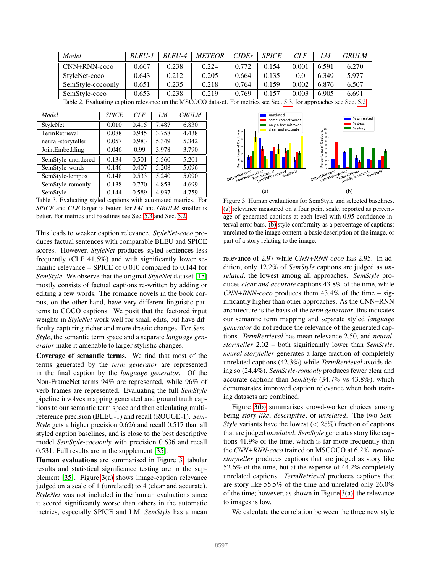| Model             | BLEU-1 | $BLE11-4$ | <b>METEOR</b> | CIDEr      | <b>SPICE</b> | CLF           | LΜ    | <b>GRULM</b>            |
|-------------------|--------|-----------|---------------|------------|--------------|---------------|-------|-------------------------|
| CNN+RNN-coco      | 0.667  | 0.238     | 0.224         | 0.772      | 0.154        | 0.001         | 6.591 | 6.270                   |
| StyleNet-coco     | 0.643  | 0.212     | 0.205         | 0.664      | 0.135        | $0.0^{\circ}$ | 6.349 | 5.977                   |
| SemStyle-cocoonly | 0.651  | 0.235     | 0.218         | 0.764      | 0.159        | 0.002         | 6.876 | 6.507                   |
| SemStyle-coco     | 0.653  | 0.238     | 0.219         | 0.769      | 0.157        | 0.003         | 6.905 | 6.691                   |
| m 11 A B          |        |           | 11000001      | $\sqrt{2}$ |              | $\sim$ $\sim$ |       | $\sim$ $\sim$<br>$\sim$ |

<span id="page-6-0"></span>Table 2. Evaluating caption relevance on the MSCOCO dataset. For metrics see Sec. [5.3,](#page-5-2) for approaches see Sec. [5.2.](#page-4-0)

| Model              | <b>SPICE</b> | CLF   | LM    | <b>GRULM</b> |
|--------------------|--------------|-------|-------|--------------|
| StyleNet           | 0.010        | 0.415 | 7.487 | 6.830        |
| TermRetrieval      | 0.088        | 0.945 | 3.758 | 4.438        |
| neural-storyteller | 0.057        | 0.983 | 5.349 | 5.342        |
| JointEmbedding     | 0.046        | 0.99  | 3.978 | 3.790        |
| SemStyle-unordered | 0.134        | 0.501 | 5.560 | 5.201        |
| SemStyle-words     | 0.146        | 0.407 | 5.208 | 5.096        |
| SemStyle-lempos    | 0.148        | 0.533 | 5.240 | 5.090        |
| SemStyle-romonly   | 0.138        | 0.770 | 4.853 | 4.699        |
| SemStyle           | 0.144        | 0.589 | 4.937 | 4.759        |

<span id="page-6-1"></span>Table 3. Evaluating styled captions with automated metrics. For *SPICE* and *CLF* larger is better, for *LM* and *GRULM* smaller is better. For metrics and baselines see Sec. [5.3](#page-5-2) and Sec. [5.2.](#page-4-0)

This leads to weaker caption relevance. *StyleNet-coco* produces factual sentences with comparable BLEU and SPICE scores. However, *StyleNet* produces styled sentences less frequently (CLF 41.5%) and with significantly lower semantic relevance – SPICE of 0.010 compared to 0.144 for *SemStyle*. We observe that the original *StyleNet* dataset [\[15\]](#page-8-4) mostly consists of factual captions re-written by adding or editing a few words. The romance novels in the book corpus, on the other hand, have very different linguistic patterns to COCO captions. We posit that the factored input weights in *StyleNet* work well for small edits, but have difficulty capturing richer and more drastic changes. For *Sem-Style*, the semantic term space and a separate *language generator* make it amenable to larger stylistic changes.

Coverage of semantic terms. We find that most of the terms generated by the *term generator* are represented in the final caption by the *language generator*. Of the Non-FrameNet terms 94% are represented, while 96% of verb frames are represented. Evaluating the full *SemStyle* pipeline involves mapping generated and ground truth captions to our semantic term space and then calculating multireference precision (BLEU-1) and recall (ROUGE-1). *Sem-Style* gets a higher precision 0.626 and recall 0.517 than all styled caption baselines, and is close to the best descriptive model *SemStyle-cocoonly* with precision 0.636 and recall 0.531. Full results are in the supplement [\[35\]](#page-9-17).

Human evaluations are summarised in Figure [3,](#page-6-2) tabular results and statistical significance testing are in the supplement [\[35\]](#page-9-17). Figure [3\(a\)](#page-6-3) shows image-caption relevance judged on a scale of 1 (unrelated) to 4 (clear and accurate). *StyleNet* was not included in the human evaluations since it scored significantly worse than others in the automatic metrics, especially SPICE and LM. *SemStyle* has a mean

<span id="page-6-4"></span><span id="page-6-3"></span>

<span id="page-6-2"></span>Figure 3. Human evaluations for SemStyle and selected baselines. [\(a\)](#page-6-3) relevance measured on a four point scale, reported as percentage of generated captions at each level with 0.95 confidence interval error bars. [\(b\)](#page-6-4) style conformity as a percentage of captions: unrelated to the image content, a basic description of the image, or part of a story relating to the image.

relevance of 2.97 while *CNN+RNN-coco* has 2.95. In addition, only 12.2% of *SemStyle* captions are judged as *unrelated*, the lowest among all approaches. *SemStyle* produces *clear and accurate* captions 43.8% of the time, while *CNN+RNN-coco* produces them 43.4% of the time – significantly higher than other approaches. As the CNN+RNN architecture is the basis of the *term generator*, this indicates our semantic term mapping and separate styled *language generator* do not reduce the relevance of the generated captions. *TermRetrieval* has mean relevance 2.50, and *neuralstoryteller* 2.02 – both significantly lower than *SemStyle*. *neural-storyteller* generates a large fraction of completely unrelated captions (42.3%) while *TermRetrieval* avoids doing so (24.4%). *SemStyle-romonly* produces fewer clear and accurate captions than *SemStyle* (34.7% vs 43.8%), which demonstrates improved caption relevance when both training datasets are combined.

Figure [3\(b\)](#page-6-4) summarises crowd-worker choices among being *story-like*, *descriptive*, or *unrelated*. The two *Sem-Style* variants have the lowest ( $\lt$  25%) fraction of captions that are judged *unrelated*. *SemStyle* generates story like captions 41.9% of the time, which is far more frequently than the *CNN+RNN-coco* trained on MSCOCO at 6.2%. *neuralstoryteller* produces captions that are judged as story like 52.6% of the time, but at the expense of 44.2% completely unrelated captions. *TermRetrieval* produces captions that are story like 55.5% of the time and unrelated only 26.0% of the time; however, as shown in Figure [3\(a\),](#page-6-3) the relevance to images is low.

We calculate the correlation between the three new style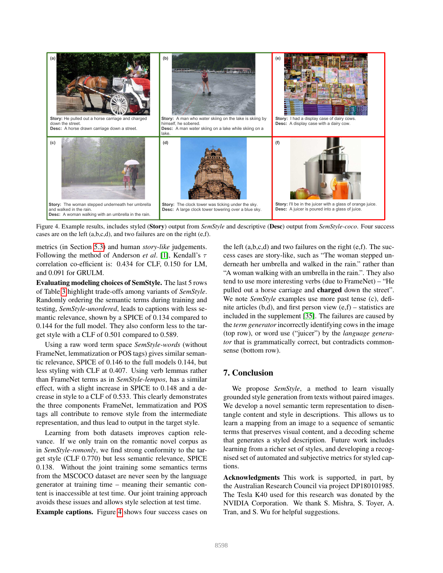

<span id="page-7-0"></span>Figure 4. Example results, includes styled (Story) output from *SemStyle* and descriptive (Desc) output from *SemStyle-coco*. Four success cases are on the left (a,b,c,d), and two failures are on the right (e,f).

metrics (in Section [5.3\)](#page-5-2) and human *story-like* judgements. Following the method of Anderson *et al*. [\[1\]](#page-8-7), Kendall's τ correlation co-efficient is: 0.434 for CLF, 0.150 for LM, and 0.091 for GRULM.

Evaluating modeling choices of SemStyle. The last 5 rows of Table [3](#page-6-1) highlight trade-offs among variants of *SemStyle*. Randomly ordering the semantic terms during training and testing, *SemStyle-unordered*, leads to captions with less semantic relevance, shown by a SPICE of 0.134 compared to 0.144 for the full model. They also conform less to the target style with a CLF of 0.501 compared to 0.589.

Using a raw word term space *SemStyle-words* (without FrameNet, lemmatization or POS tags) gives similar semantic relevance, SPICE of 0.146 to the full models 0.144, but less styling with CLF at 0.407. Using verb lemmas rather than FrameNet terms as in *SemStyle-lempos*, has a similar effect, with a slight increase in SPICE to 0.148 and a decrease in style to a CLF of 0.533. This clearly demonstrates the three components FrameNet, lemmatization and POS tags all contribute to remove style from the intermediate representation, and thus lead to output in the target style.

Learning from both datasets improves caption relevance. If we only train on the romantic novel corpus as in *SemStyle-romonly*, we find strong conformity to the target style (CLF 0.770) but less semantic relevance, SPICE 0.138. Without the joint training some semantics terms from the MSCOCO dataset are never seen by the language generator at training time – meaning their semantic content is inaccessible at test time. Our joint training approach avoids these issues and allows style selection at test time.

Example captions. Figure [4](#page-7-0) shows four success cases on

the left  $(a,b,c,d)$  and two failures on the right  $(e,f)$ . The success cases are story-like, such as "The woman stepped underneath her umbrella and walked in the rain." rather than "A woman walking with an umbrella in the rain.". They also tend to use more interesting verbs (due to FrameNet) – "He pulled out a horse carriage and charged down the street". We note *SemStyle* examples use more past tense (c), definite articles  $(b,d)$ , and first person view  $(e,f)$  – statistics are included in the supplement [\[35\]](#page-9-17). The failures are caused by the *term generator*incorrectly identifying cows in the image (top row), or word use ("juicer") by the *language generator* that is grammatically correct, but contradicts commonsense (bottom row).

## 7. Conclusion

We propose *SemStyle*, a method to learn visually grounded style generation from texts without paired images. We develop a novel semantic term representation to disentangle content and style in descriptions. This allows us to learn a mapping from an image to a sequence of semantic terms that preserves visual content, and a decoding scheme that generates a styled description. Future work includes learning from a richer set of styles, and developing a recognised set of automated and subjective metrics for styled captions.

Acknowledgments This work is supported, in part, by the Australian Research Council via project DP180101985. The Tesla K40 used for this research was donated by the NVIDIA Corporation. We thank S. Mishra, S. Toyer, A. Tran, and S. Wu for helpful suggestions.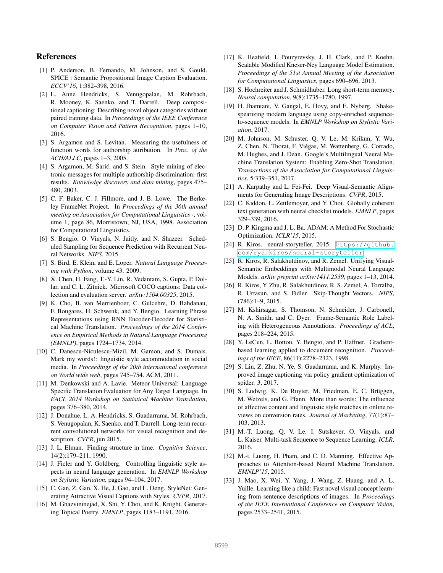## References

- <span id="page-8-7"></span>[1] P. Anderson, B. Fernando, M. Johnson, and S. Gould. SPICE : Semantic Propositional Image Caption Evaluation. *ECCV'16*, 1:382–398, 2016.
- <span id="page-8-21"></span>[2] L. Anne Hendricks, S. Venugopalan, M. Rohrbach, R. Mooney, K. Saenko, and T. Darrell. Deep compositional captioning: Describing novel object categories without paired training data. In *Proceedings of the IEEE Conference on Computer Vision and Pattern Recognition*, pages 1–10, 2016.
- <span id="page-8-9"></span>[3] S. Argamon and S. Levitan. Measuring the usefulness of function words for authorship attribution. In *Proc. of the ACH/ALLC*, pages 1–3, 2005.
- <span id="page-8-8"></span>[4] S. Argamon, M. Šarić, and S. Stein. Style mining of electronic messages for multiple authorship discrimination: first results. *Knowledge discovery and data mining*, pages 475– 480, 2003.
- <span id="page-8-5"></span>[5] C. F. Baker, C. J. Fillmore, and J. B. Lowe. The Berkeley FrameNet Project. In *Proceedings of the 36th annual meeting on Association for Computational Linguistics -*, volume 1, page 86, Morristown, NJ, USA, 1998. Association for Computational Linguistics.
- <span id="page-8-27"></span>[6] S. Bengio, O. Vinyals, N. Jaitly, and N. Shazeer. Scheduled Sampling for Sequence Prediction with Recurrent Neural Networks. *NIPS*, 2015.
- <span id="page-8-30"></span>[7] S. Bird, E. Klein, and E. Loper. *Natural Language Processing with Python*, volume 43. 2009.
- <span id="page-8-6"></span>[8] X. Chen, H. Fang, T.-Y. Lin, R. Vedantam, S. Gupta, P. Dollar, and C. L. Zitnick. Microsoft COCO captions: Data collection and evaluation server. *arXiv:1504.00325*, 2015.
- <span id="page-8-25"></span>[9] K. Cho, B. van Merrienboer, C. Gulcehre, D. Bahdanau, F. Bougares, H. Schwenk, and Y. Bengio. Learning Phrase Representations using RNN Encoder-Decoder for Statistical Machine Translation. *Proceedings of the 2014 Conference on Empirical Methods in Natural Language Processing (EMNLP)*, pages 1724–1734, 2014.
- <span id="page-8-1"></span>[10] C. Danescu-Niculescu-Mizil, M. Gamon, and S. Dumais. Mark my words!: linguistic style accommodation in social media. In *Proceedings of the 20th international conference on World wide web*, pages 745–754. ACM, 2011.
- <span id="page-8-31"></span>[11] M. Denkowski and A. Lavie. Meteor Universal: Language Specific Translation Evaluation for Any Target Language. In *EACL 2014 Workshop on Statistical Machine Translation*, pages 376–380, 2014.
- <span id="page-8-16"></span>[12] J. Donahue, L. A. Hendricks, S. Guadarrama, M. Rohrbach, S. Venugopalan, K. Saenko, and T. Darrell. Long-term recurrent convolutional networks for visual recognition and description. *CVPR*, jun 2015.
- <span id="page-8-14"></span>[13] J. L. Elman. Finding structure in time. *Cognitive Science*, 14(2):179–211, 1990.
- <span id="page-8-2"></span>[14] J. Ficler and Y. Goldberg. Controlling linguistic style aspects in neural language generation. In *EMNLP Workshop on Stylistic Variation*, pages 94–104, 2017.
- <span id="page-8-4"></span>[15] C. Gan, Z. Gan, X. He, J. Gao, and L. Deng. StyleNet: Generating Attractive Visual Captions with Styles. *CVPR*, 2017.
- <span id="page-8-10"></span>[16] M. Ghazvininejad, X. Shi, Y. Choi, and K. Knight. Generating Topical Poetry. *EMNLP*, pages 1183–1191, 2016.
- <span id="page-8-32"></span>[17] K. Heafield, I. Pouzyrevsky, J. H. Clark, and P. Koehn. Scalable Modified Kneser-Ney Language Model Estimation. *Proceedings of the 51st Annual Meeting of the Association for Computational Linguistics*, pages 690–696, 2013.
- <span id="page-8-15"></span>[18] S. Hochreiter and J. Schmidhuber. Long short-term memory. *Neural computation*, 9(8):1735–1780, 1997.
- <span id="page-8-12"></span>[19] H. Jhamtani, V. Gangal, E. Hovy, and E. Nyberg. Shakespearizing modern language using copy-enriched sequenceto-sequence models. In *EMNLP Workshop on Stylistic Variation*, 2017.
- <span id="page-8-28"></span>[20] M. Johnson, M. Schuster, Q. V. Le, M. Krikun, Y. Wu, Z. Chen, N. Thorat, F. Viegas, M. Wattenberg, G. Corrado, ´ M. Hughes, and J. Dean. Google's Multilingual Neural Machine Translation System: Enabling Zero-Shot Translation. *Transactions of the Association for Computational Linguistics*, 5:339–351, 2017.
- <span id="page-8-17"></span>[21] A. Karpathy and L. Fei-Fei. Deep Visual-Semantic Alignments for Generating Image Descriptions. *CVPR*, 2015.
- <span id="page-8-11"></span>[22] C. Kiddon, L. Zettlemoyer, and Y. Choi. Globally coherent text generation with neural checklist models. *EMNLP*, pages 329–339, 2016.
- <span id="page-8-29"></span>[23] D. P. Kingma and J. L. Ba. ADAM: A Method For Stochastic Optimization. *ICLR'15*, 2015.
- <span id="page-8-3"></span>[24] R. Kiros. neural-storyteller, 2015. [https://github.](https://github.com/ryankiros/neural-storyteller) [com/ryankiros/neural-storyteller](https://github.com/ryankiros/neural-storyteller).
- <span id="page-8-18"></span>[25] R. Kiros, R. Salakhutdinov, and R. Zemel. Unifying Visual-Semantic Embeddings with Multimodal Neural Language Models. *arXiv preprint arXiv:1411.2539*, pages 1–13, 2014.
- <span id="page-8-23"></span>[26] R. Kiros, Y. Zhu, R. Salakhutdinov, R. S. Zemel, A. Torralba, R. Urtasun, and S. Fidler. Skip-Thought Vectors. *NIPS*, (786):1–9, 2015.
- <span id="page-8-24"></span>[27] M. Kshirsagar, S. Thomson, N. Schneider, J. Carbonell, N. A. Smith, and C. Dyer. Frame-Semantic Role Labeling with Heterogeneous Annotations. *Proceedings of ACL*, pages 218–224, 2015.
- <span id="page-8-13"></span>[28] Y. LeCun, L. Bottou, Y. Bengio, and P. Haffner. Gradientbased learning applied to document recognition. *Proceedings of the IEEE*, 86(11):2278–2323, 1998.
- <span id="page-8-19"></span>[29] S. Liu, Z. Zhu, N. Ye, S. Guadarrama, and K. Murphy. Improved image captioning via policy gradient optimization of spider. 3, 2017.
- <span id="page-8-0"></span>[30] S. Ludwig, K. De Ruyter, M. Friedman, E. C. Brüggen, M. Wetzels, and G. Pfann. More than words: The influence of affective content and linguistic style matches in online reviews on conversion rates. *Journal of Marketing*, 77(1):87– 103, 2013.
- <span id="page-8-22"></span>[31] M.-T. Luong, Q. V. Le, I. Sutskever, O. Vinyals, and L. Kaiser. Multi-task Sequence to Sequence Learning. *ICLR*, 2016.
- <span id="page-8-26"></span>[32] M.-t. Luong, H. Pham, and C. D. Manning. Effective Approaches to Attention-based Neural Machine Translation. *EMNLP'15*, 2015.
- <span id="page-8-20"></span>[33] J. Mao, X. Wei, Y. Yang, J. Wang, Z. Huang, and A. L. Yuille. Learning like a child: Fast novel visual concept learning from sentence descriptions of images. In *Proceedings of the IEEE International Conference on Computer Vision*, pages 2533–2541, 2015.